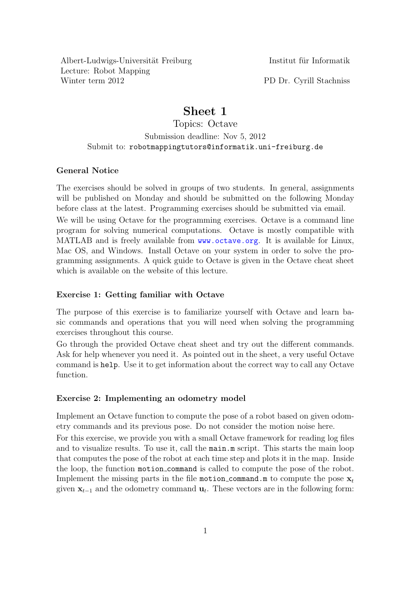Albert-Ludwigs-Universität Freiburg Institut für Informatik Lecture: Robot Mapping Winter term 2012 PD Dr. Cyrill Stachniss

## Sheet 1

Topics: Octave Submission deadline: Nov 5, 2012 Submit to: robotmappingtutors@informatik.uni-freiburg.de

## General Notice

The exercises should be solved in groups of two students. In general, assignments will be published on Monday and should be submitted on the following Monday before class at the latest. Programming exercises should be submitted via email.

We will be using Octave for the programming exercises. Octave is a command line program for solving numerical computations. Octave is mostly compatible with MATLAB and is freely available from <www.octave.org>. It is available for Linux, Mac OS, and Windows. Install Octave on your system in order to solve the programming assignments. A quick guide to Octave is given in the Octave cheat sheet which is available on the website of this lecture.

## Exercise 1: Getting familiar with Octave

The purpose of this exercise is to familiarize yourself with Octave and learn basic commands and operations that you will need when solving the programming exercises throughout this course.

Go through the provided Octave cheat sheet and try out the different commands. Ask for help whenever you need it. As pointed out in the sheet, a very useful Octave command is help. Use it to get information about the correct way to call any Octave function.

## Exercise 2: Implementing an odometry model

Implement an Octave function to compute the pose of a robot based on given odometry commands and its previous pose. Do not consider the motion noise here.

For this exercise, we provide you with a small Octave framework for reading log files and to visualize results. To use it, call the main.m script. This starts the main loop that computes the pose of the robot at each time step and plots it in the map. Inside the loop, the function motion command is called to compute the pose of the robot. Implement the missing parts in the file motion command.m to compute the pose  $x_t$ given  $\mathbf{x}_{t-1}$  and the odometry command  $\mathbf{u}_t$ . These vectors are in the following form: